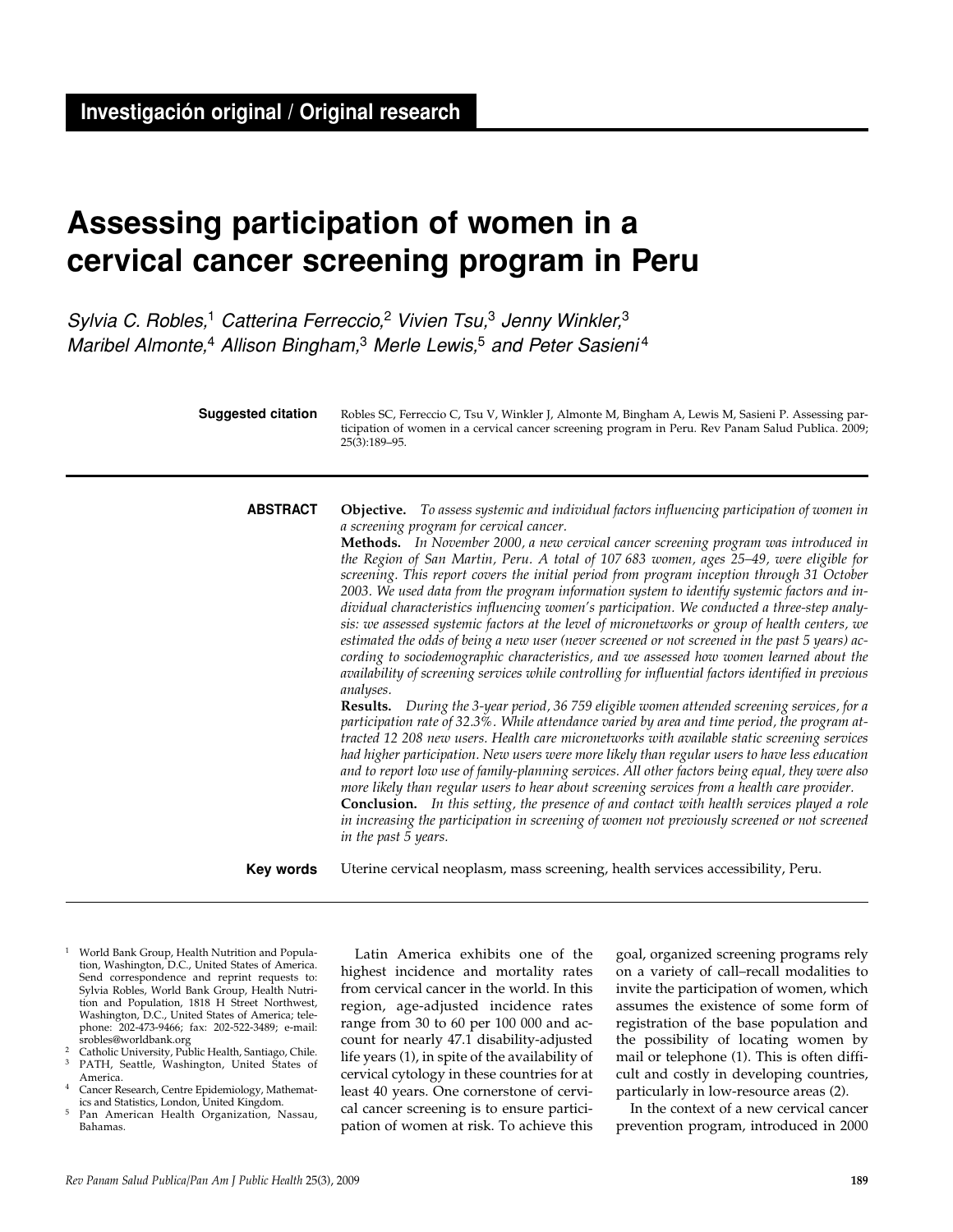# **Assessing participation of women in a cervical cancer screening program in Peru**

Sylvia C. Robles,<sup>1</sup> Catterina Ferreccio,<sup>2</sup> Vivien Tsu, $3$  Jenny Winkler, $3$ Maribel Almonte,<sup>4</sup> Allison Bingham,<sup>3</sup> Merle Lewis,<sup>5</sup> and Peter Sasieni<sup>4</sup>

| <b>Suggested citation</b> | Robles SC, Ferreccio C, Tsu V, Winkler J, Almonte M, Bingham A, Lewis M, Sasieni P. Assessing par-<br>ticipation of women in a cervical cancer screening program in Peru. Rev Panam Salud Publica. 2009;<br>$25(3):189-95.$ |
|---------------------------|-----------------------------------------------------------------------------------------------------------------------------------------------------------------------------------------------------------------------------|
|                           |                                                                                                                                                                                                                             |

## **ABSTRACT**

*a screening program for cervical cancer.* **Methods.** *In November 2000, a new cervical cancer screening program was introduced in the Region of San Martin, Peru. A total of 107 683 women, ages 25–49, were eligible for screening. This report covers the initial period from program inception through 31 October 2003. We used data from the program information system to identify systemic factors and individual characteristics influencing women's participation. We conducted a three-step analysis: we assessed systemic factors at the level of micronetworks or group of health centers, we estimated the odds of being a new user (never screened or not screened in the past 5 years) according to sociodemographic characteristics, and we assessed how women learned about the availability of screening services while controlling for influential factors identified in previous analyses.*

**Objective.** *To assess systemic and individual factors influencing participation of women in*

**Results.** *During the 3-year period, 36 759 eligible women attended screening services, for a participation rate of 32.3%. While attendance varied by area and time period, the program attracted 12 208 new users. Health care micronetworks with available static screening services had higher participation. New users were more likely than regular users to have less education and to report low use of family-planning services. All other factors being equal, they were also more likely than regular users to hear about screening services from a health care provider.*

**Conclusion.** *In this setting, the presence of and contact with health services played a role in increasing the participation in screening of women not previously screened or not screened in the past 5 years.*

Uterine cervical neoplasm, mass screening, health services accessibility, Peru. **Key words**

- <sup>1</sup> World Bank Group, Health Nutrition and Population, Washington, D.C., United States of America. Send correspondence and reprint requests to: Sylvia Robles, World Bank Group, Health Nutrition and Population, 1818 H Street Northwest, Washington, D.C., United States of America; telephone: 202-473-9466; fax: 202-522-3489; e-mail:
- srobles@worldbank.org<br><sup>2</sup> Catholic University, Public Health, Santiago, Chile. PATH, Seattle, Washington, United States of
- America. Cancer Research, Centre Epidemiology, Mathemat-
- ics and Statistics, London, United Kingdom. <sup>5</sup> Pan American Health Organization, Nassau, Bahamas.

Latin America exhibits one of the highest incidence and mortality rates from cervical cancer in the world. In this region, age-adjusted incidence rates range from 30 to 60 per 100 000 and account for nearly 47.1 disability-adjusted life years (1), in spite of the availability of cervical cytology in these countries for at least 40 years. One cornerstone of cervical cancer screening is to ensure participation of women at risk. To achieve this

goal, organized screening programs rely on a variety of call–recall modalities to invite the participation of women, which assumes the existence of some form of registration of the base population and the possibility of locating women by mail or telephone (1). This is often difficult and costly in developing countries, particularly in low-resource areas (2).

In the context of a new cervical cancer prevention program, introduced in 2000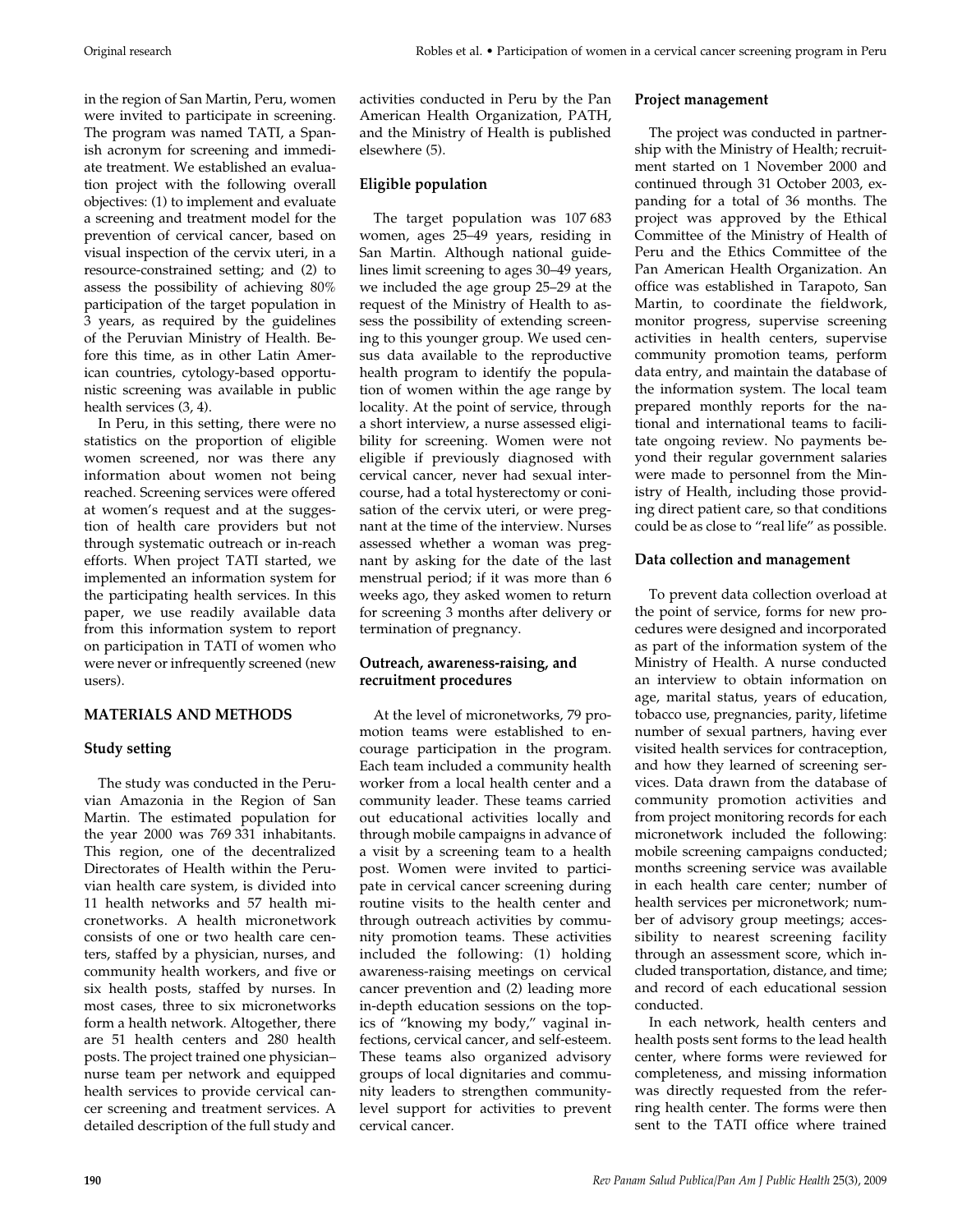in the region of San Martin, Peru, women were invited to participate in screening. The program was named TATI, a Spanish acronym for screening and immediate treatment. We established an evaluation project with the following overall objectives: (1) to implement and evaluate a screening and treatment model for the prevention of cervical cancer, based on visual inspection of the cervix uteri, in a resource-constrained setting; and (2) to assess the possibility of achieving 80% participation of the target population in 3 years, as required by the guidelines of the Peruvian Ministry of Health. Before this time, as in other Latin American countries, cytology-based opportunistic screening was available in public health services (3, 4).

In Peru, in this setting, there were no statistics on the proportion of eligible women screened, nor was there any information about women not being reached. Screening services were offered at women's request and at the suggestion of health care providers but not through systematic outreach or in-reach efforts. When project TATI started, we implemented an information system for the participating health services. In this paper, we use readily available data from this information system to report on participation in TATI of women who were never or infrequently screened (new users).

## **MATERIALS AND METHODS**

#### **Study setting**

The study was conducted in the Peruvian Amazonia in the Region of San Martin. The estimated population for the year 2000 was 769 331 inhabitants. This region, one of the decentralized Directorates of Health within the Peruvian health care system, is divided into 11 health networks and 57 health micronetworks. A health micronetwork consists of one or two health care centers, staffed by a physician, nurses, and community health workers, and five or six health posts, staffed by nurses. In most cases, three to six micronetworks form a health network. Altogether, there are 51 health centers and 280 health posts. The project trained one physician– nurse team per network and equipped health services to provide cervical cancer screening and treatment services. A detailed description of the full study and

activities conducted in Peru by the Pan American Health Organization, PATH, and the Ministry of Health is published elsewhere (5).

#### **Eligible population**

The target population was 107 683 women, ages 25–49 years, residing in San Martin. Although national guidelines limit screening to ages 30–49 years, we included the age group 25–29 at the request of the Ministry of Health to assess the possibility of extending screening to this younger group. We used census data available to the reproductive health program to identify the population of women within the age range by locality. At the point of service, through a short interview, a nurse assessed eligibility for screening. Women were not eligible if previously diagnosed with cervical cancer, never had sexual intercourse, had a total hysterectomy or conisation of the cervix uteri, or were pregnant at the time of the interview. Nurses assessed whether a woman was pregnant by asking for the date of the last menstrual period; if it was more than 6 weeks ago, they asked women to return for screening 3 months after delivery or termination of pregnancy.

### **Outreach, awareness-raising, and recruitment procedures**

At the level of micronetworks, 79 promotion teams were established to encourage participation in the program. Each team included a community health worker from a local health center and a community leader. These teams carried out educational activities locally and through mobile campaigns in advance of a visit by a screening team to a health post. Women were invited to participate in cervical cancer screening during routine visits to the health center and through outreach activities by community promotion teams. These activities included the following: (1) holding awareness-raising meetings on cervical cancer prevention and (2) leading more in-depth education sessions on the topics of "knowing my body," vaginal infections, cervical cancer, and self-esteem. These teams also organized advisory groups of local dignitaries and community leaders to strengthen communitylevel support for activities to prevent cervical cancer.

#### **Project management**

The project was conducted in partnership with the Ministry of Health; recruitment started on 1 November 2000 and continued through 31 October 2003, expanding for a total of 36 months. The project was approved by the Ethical Committee of the Ministry of Health of Peru and the Ethics Committee of the Pan American Health Organization. An office was established in Tarapoto, San Martin, to coordinate the fieldwork, monitor progress, supervise screening activities in health centers, supervise community promotion teams, perform data entry, and maintain the database of the information system. The local team prepared monthly reports for the national and international teams to facilitate ongoing review. No payments beyond their regular government salaries were made to personnel from the Ministry of Health, including those providing direct patient care, so that conditions could be as close to "real life" as possible.

#### **Data collection and management**

To prevent data collection overload at the point of service, forms for new procedures were designed and incorporated as part of the information system of the Ministry of Health. A nurse conducted an interview to obtain information on age, marital status, years of education, tobacco use, pregnancies, parity, lifetime number of sexual partners, having ever visited health services for contraception, and how they learned of screening services. Data drawn from the database of community promotion activities and from project monitoring records for each micronetwork included the following: mobile screening campaigns conducted; months screening service was available in each health care center; number of health services per micronetwork; number of advisory group meetings; accessibility to nearest screening facility through an assessment score, which included transportation, distance, and time; and record of each educational session conducted.

In each network, health centers and health posts sent forms to the lead health center, where forms were reviewed for completeness, and missing information was directly requested from the referring health center. The forms were then sent to the TATI office where trained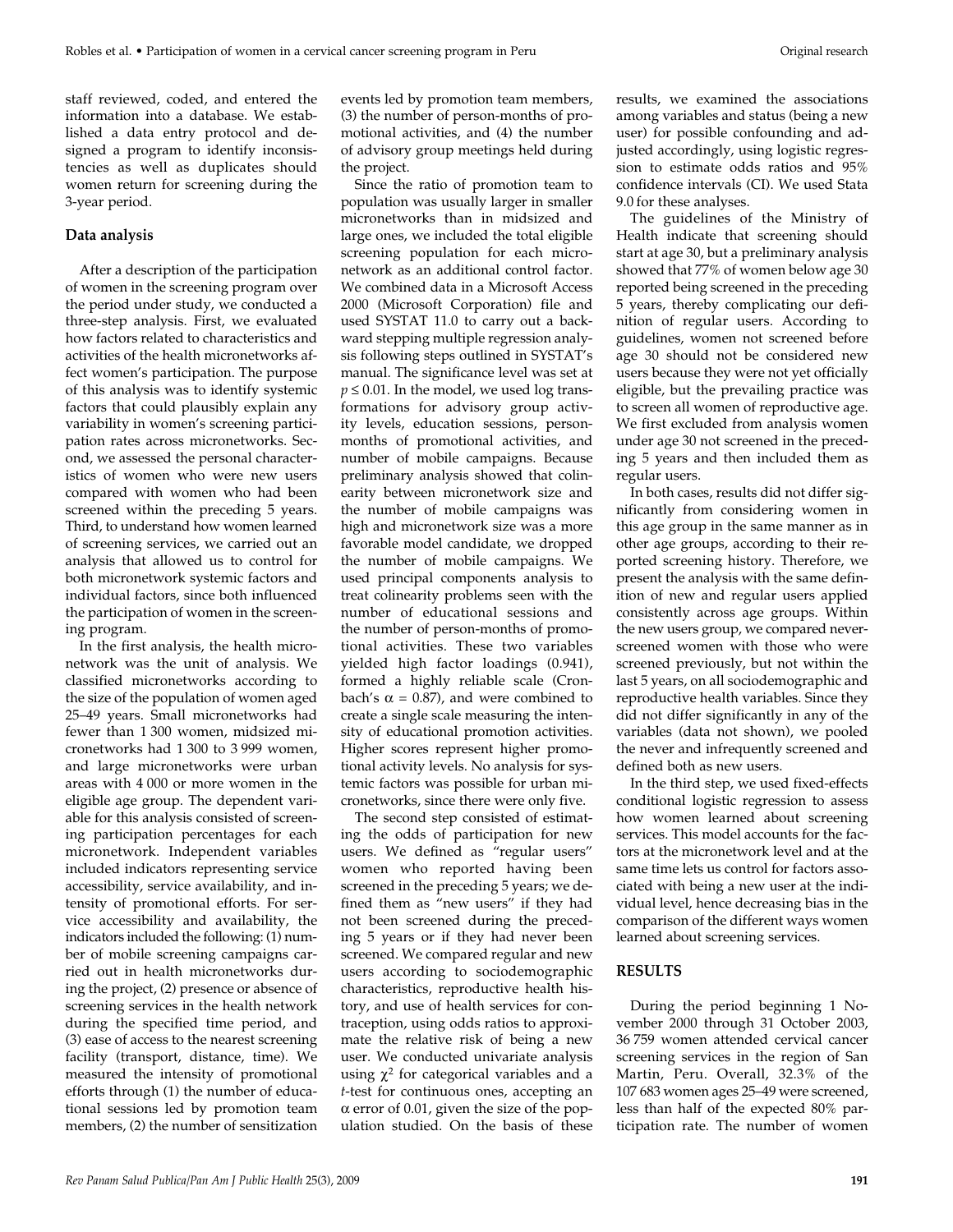staff reviewed, coded, and entered the information into a database. We established a data entry protocol and designed a program to identify inconsistencies as well as duplicates should women return for screening during the 3-year period.

## **Data analysis**

After a description of the participation of women in the screening program over the period under study, we conducted a three-step analysis. First, we evaluated how factors related to characteristics and activities of the health micronetworks affect women's participation. The purpose of this analysis was to identify systemic factors that could plausibly explain any variability in women's screening participation rates across micronetworks. Second, we assessed the personal characteristics of women who were new users compared with women who had been screened within the preceding 5 years. Third, to understand how women learned of screening services, we carried out an analysis that allowed us to control for both micronetwork systemic factors and individual factors, since both influenced the participation of women in the screening program.

In the first analysis, the health micronetwork was the unit of analysis. We classified micronetworks according to the size of the population of women aged 25–49 years. Small micronetworks had fewer than 1 300 women, midsized micronetworks had 1 300 to 3 999 women, and large micronetworks were urban areas with 4 000 or more women in the eligible age group. The dependent variable for this analysis consisted of screening participation percentages for each micronetwork. Independent variables included indicators representing service accessibility, service availability, and intensity of promotional efforts. For service accessibility and availability, the indicators included the following: (1) number of mobile screening campaigns carried out in health micronetworks during the project, (2) presence or absence of screening services in the health network during the specified time period, and (3) ease of access to the nearest screening facility (transport, distance, time). We measured the intensity of promotional efforts through (1) the number of educational sessions led by promotion team members, (2) the number of sensitization

events led by promotion team members, (3) the number of person-months of promotional activities, and (4) the number of advisory group meetings held during the project.

Since the ratio of promotion team to population was usually larger in smaller micronetworks than in midsized and large ones, we included the total eligible screening population for each micronetwork as an additional control factor. We combined data in a Microsoft Access 2000 (Microsoft Corporation) file and used SYSTAT 11.0 to carry out a backward stepping multiple regression analysis following steps outlined in SYSTAT's manual. The significance level was set at  $p \leq 0.01$ . In the model, we used log transformations for advisory group activity levels, education sessions, personmonths of promotional activities, and number of mobile campaigns. Because preliminary analysis showed that colinearity between micronetwork size and the number of mobile campaigns was high and micronetwork size was a more favorable model candidate, we dropped the number of mobile campaigns. We used principal components analysis to treat colinearity problems seen with the number of educational sessions and the number of person-months of promotional activities. These two variables yielded high factor loadings (0.941), formed a highly reliable scale (Cronbach's  $\alpha$  = 0.87), and were combined to create a single scale measuring the intensity of educational promotion activities. Higher scores represent higher promotional activity levels. No analysis for systemic factors was possible for urban micronetworks, since there were only five.

The second step consisted of estimating the odds of participation for new users. We defined as "regular users" women who reported having been screened in the preceding 5 years; we defined them as "new users" if they had not been screened during the preceding 5 years or if they had never been screened. We compared regular and new users according to sociodemographic characteristics, reproductive health history, and use of health services for contraception, using odds ratios to approximate the relative risk of being a new user. We conducted univariate analysis using  $\chi^2$  for categorical variables and a *t*-test for continuous ones, accepting an α error of 0.01, given the size of the population studied. On the basis of these

results, we examined the associations among variables and status (being a new user) for possible confounding and adjusted accordingly, using logistic regression to estimate odds ratios and 95% confidence intervals (CI). We used Stata 9.0 for these analyses.

The guidelines of the Ministry of Health indicate that screening should start at age 30, but a preliminary analysis showed that 77% of women below age 30 reported being screened in the preceding 5 years, thereby complicating our definition of regular users. According to guidelines, women not screened before age 30 should not be considered new users because they were not yet officially eligible, but the prevailing practice was to screen all women of reproductive age. We first excluded from analysis women under age 30 not screened in the preceding 5 years and then included them as regular users.

In both cases, results did not differ significantly from considering women in this age group in the same manner as in other age groups, according to their reported screening history. Therefore, we present the analysis with the same definition of new and regular users applied consistently across age groups. Within the new users group, we compared neverscreened women with those who were screened previously, but not within the last 5 years, on all sociodemographic and reproductive health variables. Since they did not differ significantly in any of the variables (data not shown), we pooled the never and infrequently screened and defined both as new users.

In the third step, we used fixed-effects conditional logistic regression to assess how women learned about screening services. This model accounts for the factors at the micronetwork level and at the same time lets us control for factors associated with being a new user at the individual level, hence decreasing bias in the comparison of the different ways women learned about screening services.

## **RESULTS**

During the period beginning 1 November 2000 through 31 October 2003, 36 759 women attended cervical cancer screening services in the region of San Martin, Peru. Overall, 32.3% of the 107 683 women ages 25–49 were screened, less than half of the expected 80% participation rate. The number of women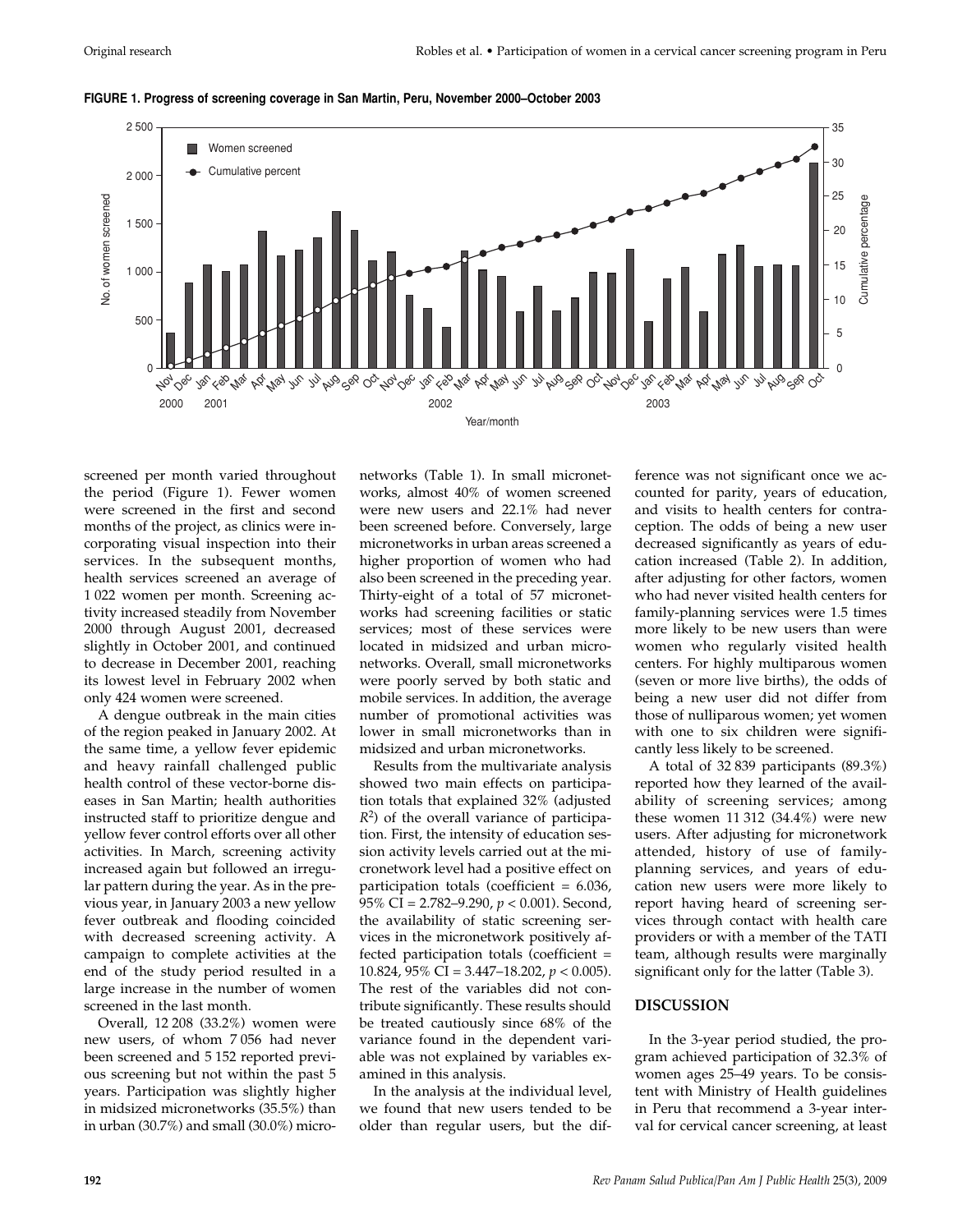

**FIGURE 1. Progress of screening coverage in San Martin, Peru, November 2000–October 2003**

screened per month varied throughout the period (Figure 1). Fewer women were screened in the first and second months of the project, as clinics were incorporating visual inspection into their services. In the subsequent months, health services screened an average of 1 022 women per month. Screening activity increased steadily from November 2000 through August 2001, decreased slightly in October 2001, and continued to decrease in December 2001, reaching its lowest level in February 2002 when only 424 women were screened.

A dengue outbreak in the main cities of the region peaked in January 2002. At the same time, a yellow fever epidemic and heavy rainfall challenged public health control of these vector-borne diseases in San Martin; health authorities instructed staff to prioritize dengue and yellow fever control efforts over all other activities. In March, screening activity increased again but followed an irregular pattern during the year. As in the previous year, in January 2003 a new yellow fever outbreak and flooding coincided with decreased screening activity. A campaign to complete activities at the end of the study period resulted in a large increase in the number of women screened in the last month.

Overall, 12 208 (33.2%) women were new users, of whom 7 056 had never been screened and 5 152 reported previous screening but not within the past 5 years. Participation was slightly higher in midsized micronetworks (35.5%) than in urban (30.7%) and small (30.0%) micronetworks (Table 1). In small micronetworks, almost 40% of women screened were new users and 22.1% had never been screened before. Conversely, large micronetworks in urban areas screened a higher proportion of women who had also been screened in the preceding year. Thirty-eight of a total of 57 micronetworks had screening facilities or static services; most of these services were located in midsized and urban micronetworks. Overall, small micronetworks were poorly served by both static and mobile services. In addition, the average number of promotional activities was lower in small micronetworks than in midsized and urban micronetworks.

Results from the multivariate analysis showed two main effects on participation totals that explained 32% (adjusted *R*2) of the overall variance of participation. First, the intensity of education session activity levels carried out at the micronetwork level had a positive effect on participation totals (coefficient = 6.036, 95% CI = 2.782–9.290, *p* < 0.001). Second, the availability of static screening services in the micronetwork positively affected participation totals (coefficient = 10.824, 95% CI = 3.447–18.202, *p* < 0.005). The rest of the variables did not contribute significantly. These results should be treated cautiously since 68% of the variance found in the dependent variable was not explained by variables examined in this analysis.

In the analysis at the individual level, we found that new users tended to be older than regular users, but the difference was not significant once we accounted for parity, years of education, and visits to health centers for contraception. The odds of being a new user decreased significantly as years of education increased (Table 2). In addition, after adjusting for other factors, women who had never visited health centers for family-planning services were 1.5 times more likely to be new users than were women who regularly visited health centers. For highly multiparous women (seven or more live births), the odds of being a new user did not differ from those of nulliparous women; yet women with one to six children were significantly less likely to be screened.

A total of 32 839 participants (89.3%) reported how they learned of the availability of screening services; among these women 11 312 (34.4%) were new users. After adjusting for micronetwork attended, history of use of familyplanning services, and years of education new users were more likely to report having heard of screening services through contact with health care providers or with a member of the TATI team, although results were marginally significant only for the latter (Table 3).

#### **DISCUSSION**

In the 3-year period studied, the program achieved participation of 32.3% of women ages 25–49 years. To be consistent with Ministry of Health guidelines in Peru that recommend a 3-year interval for cervical cancer screening, at least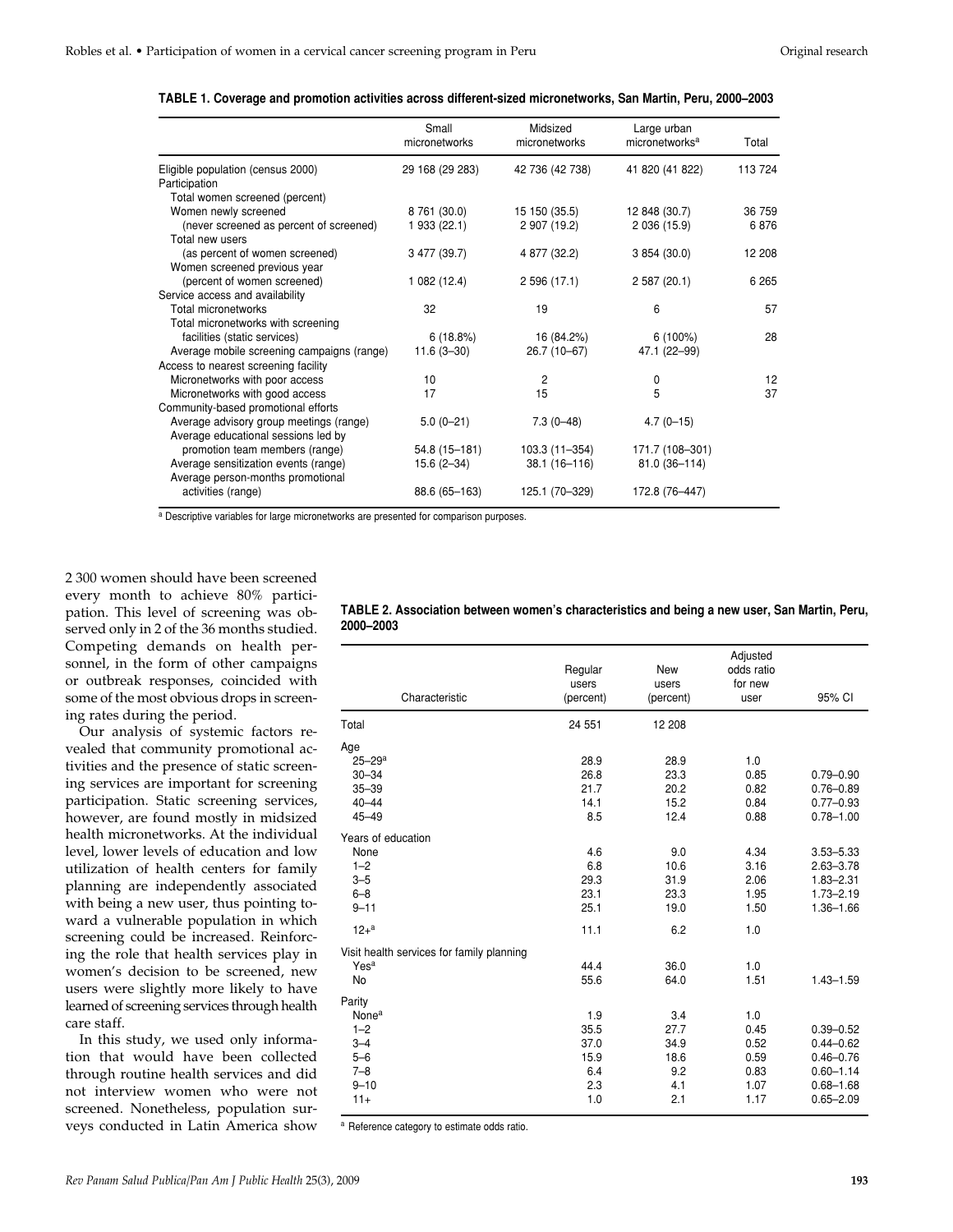|                                            | Small<br>micronetworks | Midsized<br>micronetworks | Large urban<br>micronetworks <sup>a</sup> | Total   |
|--------------------------------------------|------------------------|---------------------------|-------------------------------------------|---------|
| Eligible population (census 2000)          | 29 168 (29 283)        | 42 736 (42 738)           | 41 820 (41 822)                           | 113 724 |
| Participation                              |                        |                           |                                           |         |
| Total women screened (percent)             |                        |                           |                                           |         |
| Women newly screened                       | 8 761 (30.0)           | 15 150 (35.5)             | 12 848 (30.7)                             | 36 759  |
| (never screened as percent of screened)    | 1 933 (22.1)           | 2 907 (19.2)              | 2 036 (15.9)                              | 6876    |
| Total new users                            |                        |                           |                                           |         |
| (as percent of women screened)             | 3 477 (39.7)           | 4 877 (32.2)              | 3 854 (30.0)                              | 12 208  |
| Women screened previous year               |                        |                           |                                           |         |
| (percent of women screened)                | 1 082 (12.4)           | 2 596 (17.1)              | 2 587 (20.1)                              | 6 2 6 5 |
| Service access and availability            |                        |                           |                                           |         |
| Total micronetworks                        | 32                     | 19                        | 6                                         | 57      |
| Total micronetworks with screening         |                        |                           |                                           |         |
| facilities (static services)               | 6(18.8%)               | 16 (84.2%)                | $6(100\%)$                                | 28      |
| Average mobile screening campaigns (range) | $11.6(3 - 30)$         | 26.7 (10-67)              | 47.1 (22-99)                              |         |
| Access to nearest screening facility       |                        |                           |                                           |         |
| Micronetworks with poor access             | 10                     | 2                         | 0                                         | 12      |
| Micronetworks with good access             | 17                     | 15                        | 5                                         | 37      |
| Community-based promotional efforts        |                        |                           |                                           |         |
| Average advisory group meetings (range)    | $5.0(0-21)$            | $7.3(0-48)$               | $4.7(0 - 15)$                             |         |
| Average educational sessions led by        |                        |                           |                                           |         |
| promotion team members (range)             | 54.8 (15-181)          | 103.3 (11-354)            | 171.7 (108-301)                           |         |
| Average sensitization events (range)       | $15.6(2 - 34)$         | 38.1 (16-116)             | 81.0 (36-114)                             |         |
| Average person-months promotional          |                        |                           |                                           |         |
| activities (range)                         | 88.6 (65-163)          | 125.1 (70-329)            | 172.8 (76-447)                            |         |
|                                            |                        |                           |                                           |         |

**TABLE 1. Coverage and promotion activities across different-sized micronetworks, San Martin, Peru, 2000–2003**

a Descriptive variables for large micronetworks are presented for comparison purposes.

2 300 women should have been screened every month to achieve 80% participation. This level of screening was observed only in 2 of the 36 months studied. Competing demands on health personnel, in the form of other campaigns or outbreak responses, coincided with some of the most obvious drops in screening rates during the period.

Our analysis of systemic factors revealed that community promotional activities and the presence of static screening services are important for screening participation. Static screening services, however, are found mostly in midsized health micronetworks. At the individual level, lower levels of education and low utilization of health centers for family planning are independently associated with being a new user, thus pointing toward a vulnerable population in which screening could be increased. Reinforcing the role that health services play in women's decision to be screened, new users were slightly more likely to have learned of screening services through health care staff.

In this study, we used only information that would have been collected through routine health services and did not interview women who were not screened. Nonetheless, population surveys conducted in Latin America show

| TABLE 2. Association between women's characteristics and being a new user, San Martin, Peru, |  |
|----------------------------------------------------------------------------------------------|--|
| 2000-2003                                                                                    |  |
|                                                                                              |  |

| Characteristic                                                                      | Regular<br>users<br>(percent)                    | New<br>users<br>(percent)                        | Adjusted<br>odds ratio<br>for new<br>user           | 95% CI                                                                                             |
|-------------------------------------------------------------------------------------|--------------------------------------------------|--------------------------------------------------|-----------------------------------------------------|----------------------------------------------------------------------------------------------------|
| Total                                                                               | 24 551                                           | 12 208                                           |                                                     |                                                                                                    |
| Age<br>$25 - 29$ <sup>a</sup><br>$30 - 34$<br>$35 - 39$<br>$40 - 44$<br>$45 - 49$   | 28.9<br>26.8<br>21.7<br>14.1<br>8.5              | 28.9<br>23.3<br>20.2<br>15.2<br>12.4             | 1.0<br>0.85<br>0.82<br>0.84<br>0.88                 | $0.79 - 0.90$<br>$0.76 - 0.89$<br>$0.77 - 0.93$<br>$0.78 - 1.00$                                   |
| Years of education<br>None<br>$1 - 2$<br>$3 - 5$<br>$6 - 8$<br>$9 - 11$<br>$12 + a$ | 4.6<br>6.8<br>29.3<br>23.1<br>25.1<br>11.1       | 9.0<br>10.6<br>31.9<br>23.3<br>19.0<br>6.2       | 4.34<br>3.16<br>2.06<br>1.95<br>1.50<br>1.0         | $3.53 - 5.33$<br>$2.63 - 3.78$<br>$1.83 - 2.31$<br>$1.73 - 2.19$<br>$1.36 - 1.66$                  |
| Visit health services for family planning<br>Yes <sup>a</sup><br>No                 | 44.4<br>55.6                                     | 36.0<br>64.0                                     | 1.0<br>1.51                                         | $1.43 - 1.59$                                                                                      |
| Parity<br>Nonea<br>$1 - 2$<br>$3 - 4$<br>$5 - 6$<br>$7 - 8$<br>$9 - 10$<br>$11+$    | 1.9<br>35.5<br>37.0<br>15.9<br>6.4<br>2.3<br>1.0 | 3.4<br>27.7<br>34.9<br>18.6<br>9.2<br>4.1<br>2.1 | 1.0<br>0.45<br>0.52<br>0.59<br>0.83<br>1.07<br>1.17 | $0.39 - 0.52$<br>$0.44 - 0.62$<br>$0.46 - 0.76$<br>$0.60 - 1.14$<br>$0.68 - 1.68$<br>$0.65 - 2.09$ |

a Reference category to estimate odds ratio.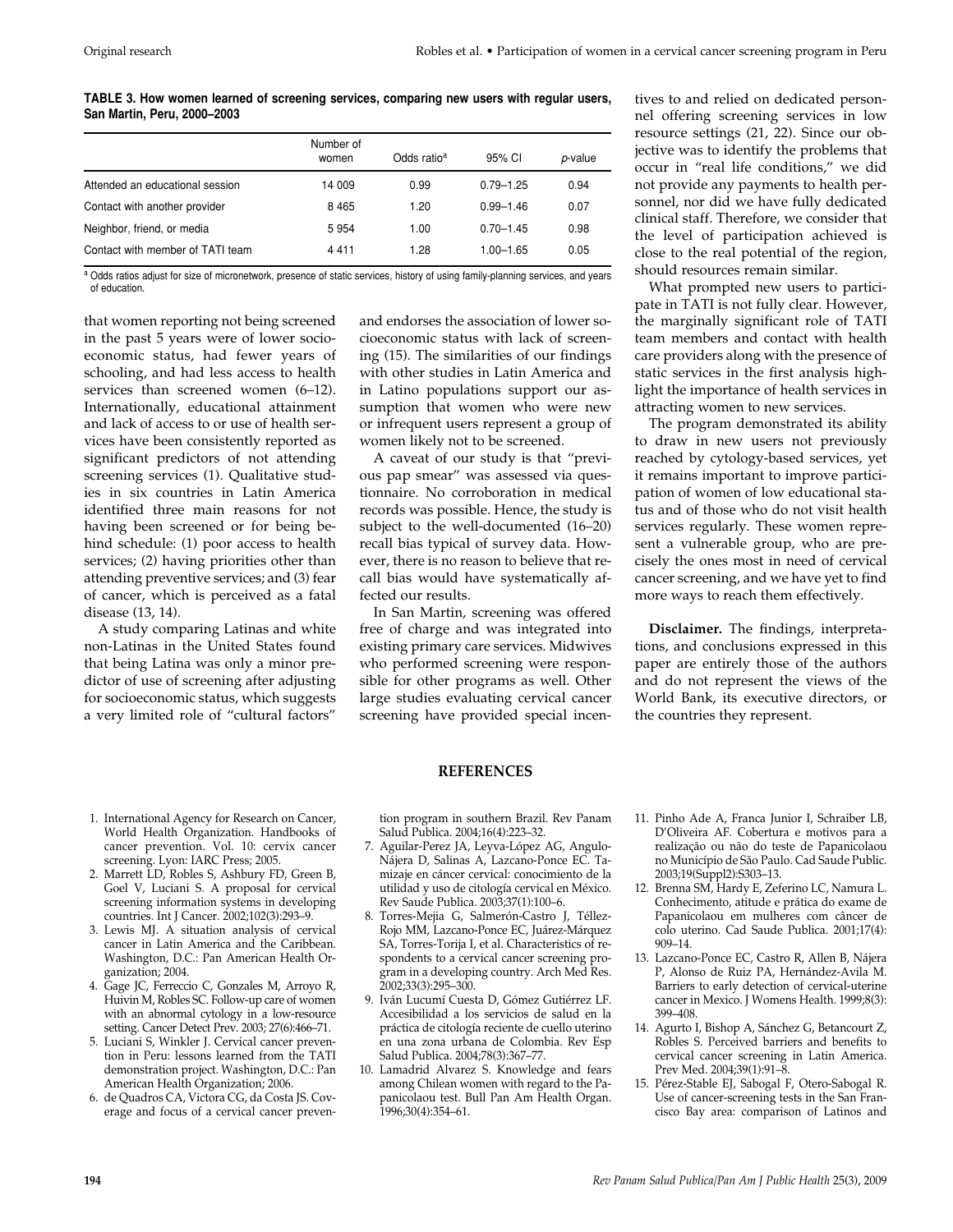**TABLE 3. How women learned of screening services, comparing new users with regular users, San Martin, Peru, 2000–2003**

|                                  | Number of<br>women | Odds ratio <sup>a</sup> | 95% CI        | p-value |
|----------------------------------|--------------------|-------------------------|---------------|---------|
| Attended an educational session  | 14 009             | 0.99                    | $0.79 - 1.25$ | 0.94    |
| Contact with another provider    | 8465               | 1.20                    | $0.99 - 1.46$ | 0.07    |
| Neighbor, friend, or media       | 5954               | 1.00                    | $0.70 - 1.45$ | 0.98    |
| Contact with member of TATI team | 4411               | 1.28                    | $1.00 - 1.65$ | 0.05    |

a Odds ratios adjust for size of micronetwork, presence of static services, history of using family-planning services, and years of education.

that women reporting not being screened in the past 5 years were of lower socioeconomic status, had fewer years of schooling, and had less access to health services than screened women (6–12). Internationally, educational attainment and lack of access to or use of health services have been consistently reported as significant predictors of not attending screening services (1). Qualitative studies in six countries in Latin America identified three main reasons for not having been screened or for being behind schedule: (1) poor access to health services; (2) having priorities other than attending preventive services; and (3) fear of cancer, which is perceived as a fatal disease (13, 14).

A study comparing Latinas and white non-Latinas in the United States found that being Latina was only a minor predictor of use of screening after adjusting for socioeconomic status, which suggests a very limited role of "cultural factors"

and endorses the association of lower socioeconomic status with lack of screening (15). The similarities of our findings with other studies in Latin America and in Latino populations support our assumption that women who were new or infrequent users represent a group of women likely not to be screened.

A caveat of our study is that "previous pap smear" was assessed via questionnaire. No corroboration in medical records was possible. Hence, the study is subject to the well-documented (16–20) recall bias typical of survey data. However, there is no reason to believe that recall bias would have systematically affected our results.

In San Martin, screening was offered free of charge and was integrated into existing primary care services. Midwives who performed screening were responsible for other programs as well. Other large studies evaluating cervical cancer screening have provided special incentives to and relied on dedicated personnel offering screening services in low resource settings (21, 22). Since our objective was to identify the problems that occur in "real life conditions," we did not provide any payments to health personnel, nor did we have fully dedicated clinical staff. Therefore, we consider that the level of participation achieved is close to the real potential of the region, should resources remain similar.

What prompted new users to participate in TATI is not fully clear. However, the marginally significant role of TATI team members and contact with health care providers along with the presence of static services in the first analysis highlight the importance of health services in attracting women to new services.

The program demonstrated its ability to draw in new users not previously reached by cytology-based services, yet it remains important to improve participation of women of low educational status and of those who do not visit health services regularly. These women represent a vulnerable group, who are precisely the ones most in need of cervical cancer screening, and we have yet to find more ways to reach them effectively.

**Disclaimer.** The findings, interpretations, and conclusions expressed in this paper are entirely those of the authors and do not represent the views of the World Bank, its executive directors, or the countries they represent.

#### **REFERENCES**

- 1. International Agency for Research on Cancer, World Health Organization. Handbooks of cancer prevention. Vol. 10: cervix cancer screening. Lyon: IARC Press; 2005.
- 2. Marrett LD, Robles S, Ashbury FD, Green B, Goel V, Luciani S*.* A proposal for cervical screening information systems in developing countries*.* Int J Cancer*.* 2002;102(3):293–9.
- 3. Lewis MJ. A situation analysis of cervical cancer in Latin America and the Caribbean. Washington, D.C.: Pan American Health Organization; 2004.
- 4. Gage JC, Ferreccio C, Gonzales M, Arroyo R, Huivin M, Robles SC. Follow-up care of women with an abnormal cytology in a low-resource setting*.* Cancer Detect Prev. 2003; 27(6):466–71.
- 5. Luciani S, Winkler J. Cervical cancer prevention in Peru: lessons learned from the TATI demonstration project. Washington, D.C.: Pan American Health Organization; 2006.
- 6. de Quadros CA, Victora CG, da Costa JS. Coverage and focus of a cervical cancer preven-

tion program in southern Brazil. Rev Panam Salud Publica. 2004;16(4):223–32.

- 7. Aguilar-Perez JA, Leyva-López AG, Angulo-Nájera D, Salinas A, Lazcano-Ponce EC. Tamizaje en cáncer cervical: conocimiento de la utilidad y uso de citología cervical en México*.* Rev Saude Publica. 2003;37(1):100–6.
- 8. Torres-Mejia G, Salmerón-Castro J, Téllez-Rojo MM, Lazcano-Ponce EC, Juárez-Márquez SA, Torres-Torija I, et al. Characteristics of respondents to a cervical cancer screening program in a developing country*.* Arch Med Res. 2002;33(3):295–300.
- 9. Iván Lucumí Cuesta D, Gómez Gutiérrez LF. Accesibilidad a los servicios de salud en la práctica de citología reciente de cuello uterino en una zona urbana de Colombia. Rev Esp Salud Publica. 2004;78(3):367–77.
- 10. Lamadrid Alvarez S. Knowledge and fears among Chilean women with regard to the Papanicolaou test. Bull Pan Am Health Organ. 1996;30(4):354–61.
- 11. Pinho Ade A, Franca Junior I, Schraiber LB, D'Oliveira AF. Cobertura e motivos para a realização ou não do teste de Papanicolaou no Município de São Paulo. Cad Saude Public*.* 2003;19(Suppl2):S303–13.
- 12. Brenna SM, Hardy E, Zeferino LC, Namura L. Conhecimento, atitude e prática do exame de Papanicolaou em mulheres com câncer de colo uterino*.* Cad Saude Publica. 2001;17(4): 909–14.
- 13. Lazcano-Ponce EC, Castro R, Allen B, Nájera P, Alonso de Ruiz PA, Hernández-Avila M. Barriers to early detection of cervical-uterine cancer in Mexico. J Womens Health. 1999;8(3): 399–408.
- 14. Agurto I, Bishop A, Sánchez G, Betancourt Z, Robles S. Perceived barriers and benefits to cervical cancer screening in Latin America. Prev Med. 2004;39(1):91–8.
- 15. Pérez-Stable EJ, Sabogal F, Otero-Sabogal R. Use of cancer-screening tests in the San Francisco Bay area: comparison of Latinos and